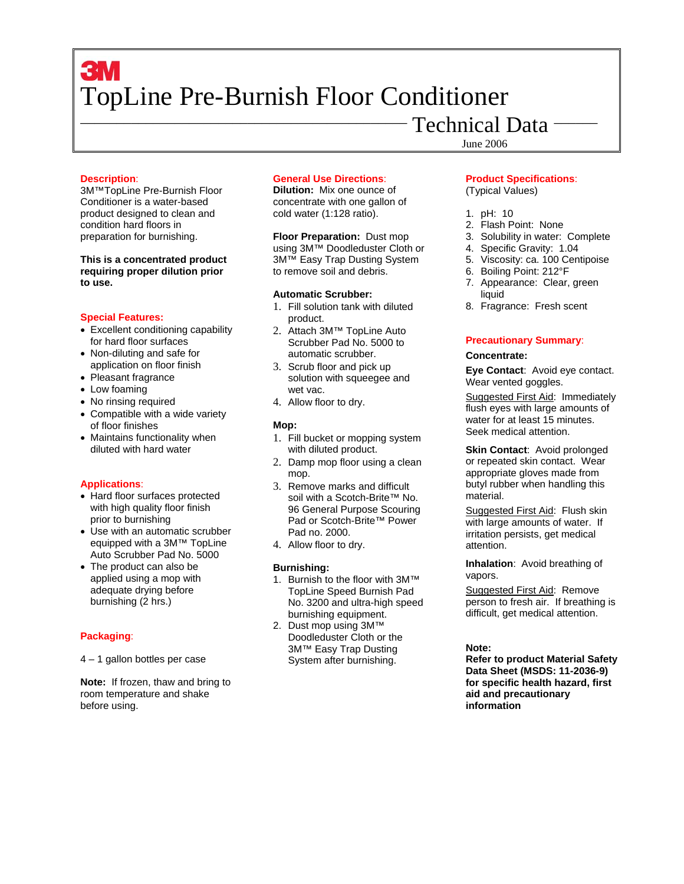# **3M** TopLine Pre-Burnish Floor Conditioner

# Technical Data

June 2006

### **Description**:

3M™TopLine Pre-Burnish Floor Conditioner is a water-based product designed to clean and condition hard floors in preparation for burnishing.

### **This is a concentrated product requiring proper dilution prior to use.**

#### **Special Features:**

- Excellent conditioning capability for hard floor surfaces
- Non-diluting and safe for application on floor finish
- Pleasant fragrance
- Low foaming
- No rinsing required
- Compatible with a wide variety of floor finishes
- Maintains functionality when diluted with hard water

# **Applications**:

- Hard floor surfaces protected with high quality floor finish prior to burnishing
- Use with an automatic scrubber equipped with a 3M™ TopLine Auto Scrubber Pad No. 5000
- The product can also be applied using a mop with adequate drying before burnishing (2 hrs.)

# **Packaging**:

4 – 1 gallon bottles per case

**Note:** If frozen, thaw and bring to room temperature and shake before using.

# **General Use Directions**:

**Dilution:** Mix one ounce of concentrate with one gallon of cold water (1:128 ratio).

**Floor Preparation:** Dust mop using 3M™ Doodleduster Cloth or 3M™ Easy Trap Dusting System to remove soil and debris.

#### **Automatic Scrubber:**

- 1. Fill solution tank with diluted product.
- 2. Attach 3M™ TopLine Auto Scrubber Pad No. 5000 to automatic scrubber.
- 3. Scrub floor and pick up solution with squeegee and wet vac.
- 4. Allow floor to dry.

# **Mop:**

- 1. Fill bucket or mopping system with diluted product.
- 2. Damp mop floor using a clean mop.
- 3. Remove marks and difficult soil with a Scotch-Brite™ No. 96 General Purpose Scouring Pad or Scotch-Brite™ Power Pad no. 2000.
- 4. Allow floor to dry.

# **Burnishing:**

- 1. Burnish to the floor with 3M™ TopLine Speed Burnish Pad No. 3200 and ultra-high speed burnishing equipment.
- 2. Dust mop using 3M™ Doodleduster Cloth or the 3M™ Easy Trap Dusting System after burnishing.

# **Product Specifications**: (Typical Values)

- 1. pH: 10
- 2. Flash Point: None
- 3. Solubility in water: Complete
- 4. Specific Gravity: 1.04
- 5. Viscosity: ca. 100 Centipoise
- 6. Boiling Point: 212°F
- 7. Appearance: Clear, green liquid
- 8. Fragrance: Fresh scent

# **Precautionary Summary**:

### **Concentrate:**

**Eye Contact**: Avoid eye contact. Wear vented goggles.

Suggested First Aid: Immediately flush eyes with large amounts of water for at least 15 minutes. Seek medical attention.

**Skin Contact: Avoid prolonged** or repeated skin contact. Wear appropriate gloves made from butyl rubber when handling this material.

Suggested First Aid: Flush skin with large amounts of water. If irritation persists, get medical attention.

**Inhalation**: Avoid breathing of vapors.

Suggested First Aid: Remove person to fresh air. If breathing is difficult, get medical attention.

# **Note:**

**Refer to product Material Safety Data Sheet (MSDS: 11-2036-9) for specific health hazard, first aid and precautionary information**